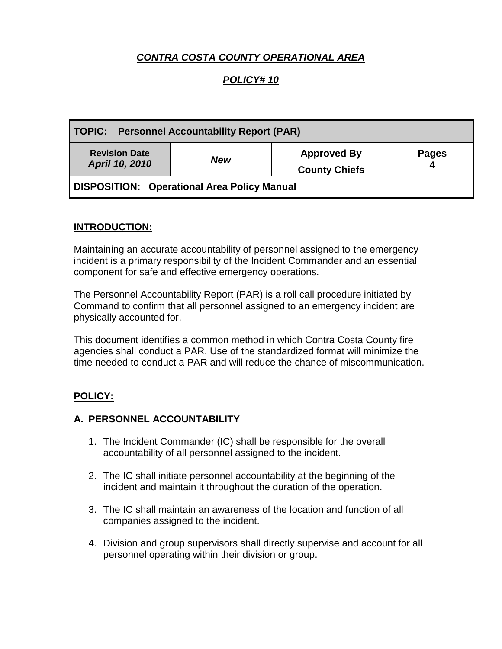# *CONTRA COSTA COUNTY OPERATIONAL AREA*

## *POLICY# 10*

| <b>TOPIC: Personnel Accountability Report (PAR)</b> |            |                                            |              |
|-----------------------------------------------------|------------|--------------------------------------------|--------------|
| <b>Revision Date</b><br>April 10, 2010              | <b>New</b> | <b>Approved By</b><br><b>County Chiefs</b> | <b>Pages</b> |
| DISPOSITION: Operational Area Policy Manual         |            |                                            |              |

### **INTRODUCTION:**

Maintaining an accurate accountability of personnel assigned to the emergency incident is a primary responsibility of the Incident Commander and an essential component for safe and effective emergency operations.

The Personnel Accountability Report (PAR) is a roll call procedure initiated by Command to confirm that all personnel assigned to an emergency incident are physically accounted for.

This document identifies a common method in which Contra Costa County fire agencies shall conduct a PAR. Use of the standardized format will minimize the time needed to conduct a PAR and will reduce the chance of miscommunication.

### **POLICY:**

#### **A. PERSONNEL ACCOUNTABILITY**

- 1. The Incident Commander (IC) shall be responsible for the overall accountability of all personnel assigned to the incident.
- 2. The IC shall initiate personnel accountability at the beginning of the incident and maintain it throughout the duration of the operation.
- 3. The IC shall maintain an awareness of the location and function of all companies assigned to the incident.
- 4. Division and group supervisors shall directly supervise and account for all personnel operating within their division or group.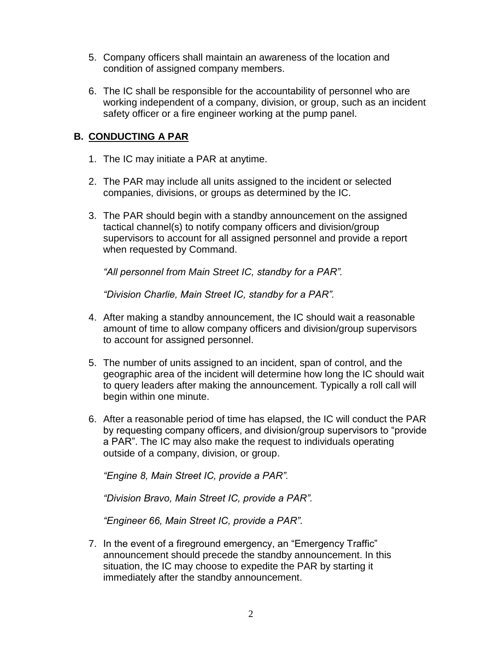- 5. Company officers shall maintain an awareness of the location and condition of assigned company members.
- 6. The IC shall be responsible for the accountability of personnel who are working independent of a company, division, or group, such as an incident safety officer or a fire engineer working at the pump panel.

### **B. CONDUCTING A PAR**

- 1. The IC may initiate a PAR at anytime.
- 2. The PAR may include all units assigned to the incident or selected companies, divisions, or groups as determined by the IC.
- 3. The PAR should begin with a standby announcement on the assigned tactical channel(s) to notify company officers and division/group supervisors to account for all assigned personnel and provide a report when requested by Command.

*"All personnel from Main Street IC, standby for a PAR".*

*"Division Charlie, Main Street IC, standby for a PAR".*

- 4. After making a standby announcement, the IC should wait a reasonable amount of time to allow company officers and division/group supervisors to account for assigned personnel.
- 5. The number of units assigned to an incident, span of control, and the geographic area of the incident will determine how long the IC should wait to query leaders after making the announcement. Typically a roll call will begin within one minute.
- 6. After a reasonable period of time has elapsed, the IC will conduct the PAR by requesting company officers, and division/group supervisors to "provide a PAR". The IC may also make the request to individuals operating outside of a company, division, or group.

*"Engine 8, Main Street IC, provide a PAR".*

*"Division Bravo, Main Street IC, provide a PAR".*

*"Engineer 66, Main Street IC, provide a PAR".*

7. In the event of a fireground emergency, an "Emergency Traffic" announcement should precede the standby announcement. In this situation, the IC may choose to expedite the PAR by starting it immediately after the standby announcement.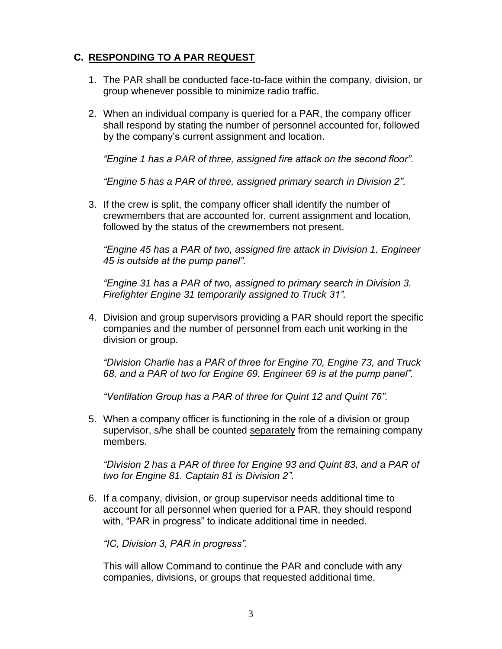# **C. RESPONDING TO A PAR REQUEST**

- 1. The PAR shall be conducted face-to-face within the company, division, or group whenever possible to minimize radio traffic.
- 2. When an individual company is queried for a PAR, the company officer shall respond by stating the number of personnel accounted for, followed by the company's current assignment and location.

*"Engine 1 has a PAR of three, assigned fire attack on the second floor".*

*"Engine 5 has a PAR of three, assigned primary search in Division 2".*

3. If the crew is split, the company officer shall identify the number of crewmembers that are accounted for, current assignment and location, followed by the status of the crewmembers not present.

*"Engine 45 has a PAR of two, assigned fire attack in Division 1. Engineer 45 is outside at the pump panel".* 

*"Engine 31 has a PAR of two, assigned to primary search in Division 3. Firefighter Engine 31 temporarily assigned to Truck 31".*

4. Division and group supervisors providing a PAR should report the specific companies and the number of personnel from each unit working in the division or group.

*"Division Charlie has a PAR of three for Engine 70, Engine 73, and Truck 68, and a PAR of two for Engine 69. Engineer 69 is at the pump panel".*

*"Ventilation Group has a PAR of three for Quint 12 and Quint 76".* 

5. When a company officer is functioning in the role of a division or group supervisor, s/he shall be counted separately from the remaining company members.

*"Division 2 has a PAR of three for Engine 93 and Quint 83, and a PAR of two for Engine 81. Captain 81 is Division 2".* 

6. If a company, division, or group supervisor needs additional time to account for all personnel when queried for a PAR, they should respond with, "PAR in progress" to indicate additional time in needed.

*"IC, Division 3, PAR in progress".*

This will allow Command to continue the PAR and conclude with any companies, divisions, or groups that requested additional time.